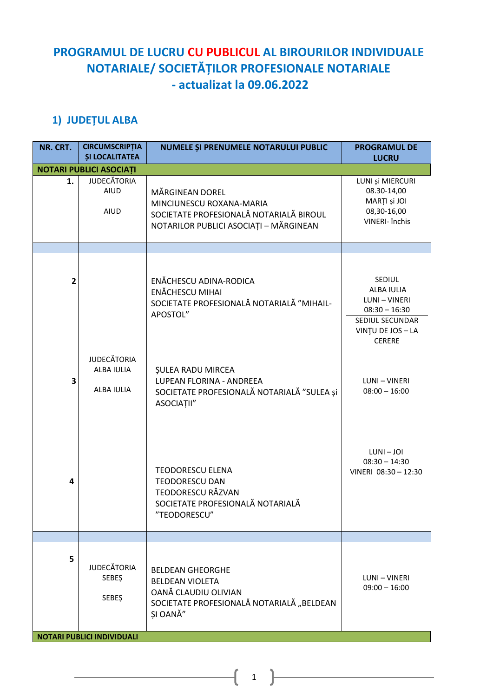## **PROGRAMUL DE LUCRU CU PUBLICUL AL BIROURILOR INDIVIDUALE NOTARIALE/ SOCIETĂȚILOR PROFESIONALE NOTARIALE - actualizat la 09.06.2022**

## **1) JUDEȚUL ALBA**

| NR. CRT. | <b>CIRCUMSCRIPȚIA</b><br><b>ȘI LOCALITATEA</b>     | NUMELE ȘI PRENUMELE NOTARULUI PUBLIC                                                                                                    | <b>PROGRAMUL DE</b><br><b>LUCRU</b>                                                                               |
|----------|----------------------------------------------------|-----------------------------------------------------------------------------------------------------------------------------------------|-------------------------------------------------------------------------------------------------------------------|
|          | <b>NOTARI PUBLICI ASOCIAȚI</b>                     |                                                                                                                                         |                                                                                                                   |
| 1.       | <b>JUDECĂTORIA</b><br><b>AIUD</b><br>AIUD          | <b>MÄRGINEAN DOREL</b><br>MINCIUNESCU ROXANA-MARIA<br>SOCIETATE PROFESIONALĂ NOTARIALĂ BIROUL<br>NOTARILOR PUBLICI ASOCIAȚI - MĂRGINEAN | LUNI și MIERCURI<br>08.30-14,00<br>MARȚI și JOI<br>08,30-16,00<br>VINERI- închis                                  |
|          |                                                    |                                                                                                                                         |                                                                                                                   |
| 2        |                                                    | ENĂCHESCU ADINA-RODICA<br>ENĂCHESCU MIHAI<br>SOCIETATE PROFESIONALĂ NOTARIALĂ "MIHAIL-<br>APOSTOL"                                      | SEDIUL<br>ALBA IULIA<br>LUNI - VINERI<br>$08:30 - 16:30$<br>SEDIUL SECUNDAR<br>VINTU DE JOS - LA<br><b>CERERE</b> |
| 3        | <b>JUDECĂTORIA</b><br>ALBA IULIA<br>ALBA IULIA     | <b>ŞULEA RADU MIRCEA</b><br>LUPEAN FLORINA - ANDREEA<br>SOCIETATE PROFESIONALĂ NOTARIALĂ "SULEA și<br>ASOCIAȚII"                        | LUNI - VINERI<br>$08:00 - 16:00$                                                                                  |
| 4        |                                                    | <b>TEODORESCU ELENA</b><br><b>TEODORESCU DAN</b><br>TEODORESCU RĂZVAN<br>SOCIETATE PROFESIONALĂ NOTARIALĂ<br>"TEODORESCU"               | $LUNI - JOI$<br>$08:30 - 14:30$<br>VINERI 08:30 - 12:30                                                           |
|          |                                                    |                                                                                                                                         |                                                                                                                   |
| 5        | <b>JUDECĂTORIA</b><br><b>SEBES</b><br><b>SEBEŞ</b> | <b>BELDEAN GHEORGHE</b><br><b>BELDEAN VIOLETA</b><br>OANĂ CLAUDIU OLIVIAN<br>SOCIETATE PROFESIONALĂ NOTARIALĂ "BELDEAN<br>SI OANĂ"      | LUNI - VINERI<br>$09:00 - 16:00$                                                                                  |
|          | <b>NOTARI PUBLICI INDIVIDUALI</b>                  |                                                                                                                                         |                                                                                                                   |

1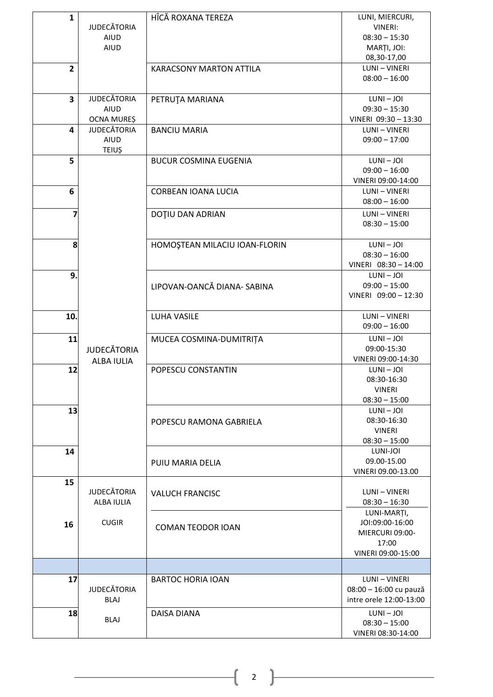| $\mathbf{1}$            |                    | HÎCĂ ROXANA TEREZA             | LUNI, MIERCURI,                       |
|-------------------------|--------------------|--------------------------------|---------------------------------------|
|                         | <b>JUDECĂTORIA</b> |                                | <b>VINERI:</b>                        |
|                         | <b>AIUD</b>        |                                | $08:30 - 15:30$                       |
|                         | <b>AIUD</b>        |                                | MARȚI, JOI:                           |
|                         |                    |                                | 08,30-17,00                           |
| $\overline{2}$          |                    | <b>KARACSONY MARTON ATTILA</b> | <b>LUNI-VINERI</b><br>$08:00 - 16:00$ |
|                         |                    |                                |                                       |
| $\overline{\mathbf{3}}$ | <b>JUDECĂTORIA</b> | PETRUȚA MARIANA                | $LUNI - JOI$                          |
|                         | <b>AIUD</b>        |                                | $09:30 - 15:30$                       |
|                         | OCNA MUREȘ         |                                | VINERI 09:30 - 13:30                  |
| 4                       | <b>JUDECĂTORIA</b> | <b>BANCIU MARIA</b>            | LUNI - VINERI                         |
|                         | <b>AIUD</b>        |                                | $09:00 - 17:00$                       |
| 5                       | <b>TEIUȘ</b>       | <b>BUCUR COSMINA EUGENIA</b>   | $LUNI - JOI$                          |
|                         |                    |                                | $09:00 - 16:00$                       |
|                         |                    |                                | VINERI 09:00-14:00                    |
| 6                       |                    | CORBEAN IOANA LUCIA            | LUNI - VINERI                         |
|                         |                    |                                | $08:00 - 16:00$                       |
| 7                       |                    | DOȚIU DAN ADRIAN               | LUNI - VINERI                         |
|                         |                    |                                | $08:30 - 15:00$                       |
|                         |                    |                                |                                       |
| 8                       |                    | HOMOȘTEAN MILACIU IOAN-FLORIN  | $LUNI - JOI$                          |
|                         |                    |                                | $08:30 - 16:00$                       |
| 9.                      |                    |                                | VINERI 08:30 - 14:00<br>$LUNI - JOI$  |
|                         |                    | LIPOVAN-OANCĂ DIANA- SABINA    | $09:00 - 15:00$                       |
|                         |                    |                                | VINERI 09:00 - 12:30                  |
|                         |                    |                                |                                       |
| 10.                     |                    | <b>LUHA VASILE</b>             | LUNI - VINERI                         |
|                         |                    |                                | $09:00 - 16:00$                       |
| 11                      |                    | MUCEA COSMINA-DUMITRIȚA        | $LUNI - JOI$                          |
|                         | <b>JUDECĂTORIA</b> |                                | 09:00-15:30<br>VINERI 09:00-14:30     |
| 12                      | <b>ALBA IULIA</b>  | POPESCU CONSTANTIN             | $LUNI - JOI$                          |
|                         |                    |                                | 08:30-16:30                           |
|                         |                    |                                | <b>VINERI</b>                         |
|                         |                    |                                | $08:30 - 15:00$                       |
| 13                      |                    |                                | $LUNI - JOI$                          |
|                         |                    | POPESCU RAMONA GABRIELA        | 08:30-16:30                           |
|                         |                    |                                | <b>VINERI</b>                         |
| 14                      |                    |                                | $08:30 - 15:00$<br>LUNI-JOI           |
|                         |                    | PUIU MARIA DELIA               | 09.00-15.00                           |
|                         |                    |                                | VINERI 09.00-13.00                    |
| 15                      |                    |                                |                                       |
|                         | <b>JUDECĂTORIA</b> | <b>VALUCH FRANCISC</b>         | LUNI - VINERI                         |
|                         | ALBA IULIA         |                                | $08:30 - 16:30$                       |
|                         |                    |                                | LUNI-MARȚI,                           |
| 16                      | <b>CUGIR</b>       | <b>COMAN TEODOR IOAN</b>       | JOI:09:00-16:00<br>MIERCURI 09:00-    |
|                         |                    |                                | 17:00                                 |
|                         |                    |                                | VINERI 09:00-15:00                    |
|                         |                    |                                |                                       |
| 17                      |                    | <b>BARTOC HORIA IOAN</b>       | LUNI - VINERI                         |
|                         | <b>JUDECĂTORIA</b> |                                | 08:00 - 16:00 cu pauză                |
|                         | <b>BLAJ</b>        |                                | intre orele 12:00-13:00               |
| 18                      |                    | DAISA DIANA                    | $LUNI - JOI$                          |
|                         | <b>BLAJ</b>        |                                | $08:30 - 15:00$                       |
|                         |                    |                                | VINERI 08:30-14:00                    |

 $\begin{array}{|c|c|c|}\n\hline\n2 & 2 & \hline\n\end{array}$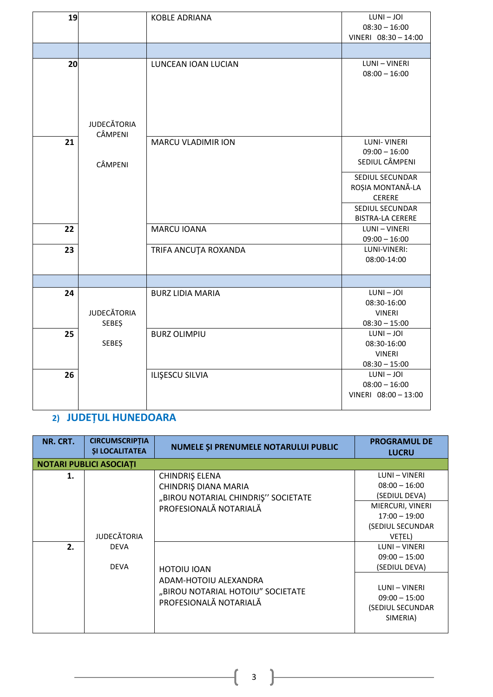| 19 |                               | <b>KOBLE ADRIANA</b>      | $LUNI - JOI$            |
|----|-------------------------------|---------------------------|-------------------------|
|    |                               |                           | $08:30 - 16:00$         |
|    |                               |                           | VINERI 08:30 - 14:00    |
|    |                               |                           |                         |
| 20 |                               | LUNCEAN IOAN LUCIAN       | LUNI - VINERI           |
|    |                               |                           | $08:00 - 16:00$         |
|    | <b>JUDECĂTORIA</b><br>CÂMPENI |                           |                         |
| 21 |                               | <b>MARCU VLADIMIR ION</b> | <b>LUNI-VINERI</b>      |
|    |                               |                           | $09:00 - 16:00$         |
|    | CÂMPENI                       |                           | SEDIUL CÂMPENI          |
|    |                               |                           | SEDIUL SECUNDAR         |
|    |                               |                           | ROȘIA MONTANĂ-LA        |
|    |                               |                           | <b>CERERE</b>           |
|    |                               |                           |                         |
|    |                               |                           | SEDIUL SECUNDAR         |
|    |                               |                           | <b>BISTRA-LA CERERE</b> |
| 22 |                               | <b>MARCU IOANA</b>        | LUNI - VINERI           |
|    |                               |                           | $09:00 - 16:00$         |
| 23 |                               | TRIFA ANCUȚA ROXANDA      | LUNI-VINERI:            |
|    |                               |                           | 08:00-14:00             |
|    |                               |                           |                         |
|    |                               |                           |                         |
| 24 |                               | <b>BURZ LIDIA MARIA</b>   | $LUNI - JOI$            |
|    |                               |                           | 08:30-16:00             |
|    | <b>JUDECĂTORIA</b>            |                           | <b>VINERI</b>           |
|    | <b>SEBEŞ</b>                  |                           | $08:30 - 15:00$         |
| 25 |                               | <b>BURZ OLIMPIU</b>       | $LUNI - JOI$            |
|    | <b>SEBEŞ</b>                  |                           | 08:30-16:00             |
|    |                               |                           | <b>VINERI</b>           |
|    |                               |                           | $08:30 - 15:00$         |
| 26 |                               | ILIŞESCU SILVIA           | $LUNI - JOI$            |
|    |                               |                           | $08:00 - 16:00$         |
|    |                               |                           | VINERI 08:00 - 13:00    |
|    |                               |                           |                         |

## **2) JUDEȚUL HUNEDOARA**

| NR. CRT. | <b>CIRCUMSCRIPTIA</b><br><b>SI LOCALITATEA</b> | NUMELE ȘI PRENUMELE NOTARULUI PUBLIC                                                                       | <b>PROGRAMUL DE</b><br><b>LUCRU</b>                                                                                    |
|----------|------------------------------------------------|------------------------------------------------------------------------------------------------------------|------------------------------------------------------------------------------------------------------------------------|
|          | NOTARI PUBLICI ASOCIAȚI                        |                                                                                                            |                                                                                                                        |
| 1.       | <b>JUDECĂTORIA</b>                             | CHINDRIŞ ELENA<br>CHINDRIS DIANA MARIA<br>"BIROU NOTARIAL CHINDRIȘ" SOCIETATE<br>PROFESIONALĂ NOTARIALĂ    | LUNI - VINERI<br>$08:00 - 16:00$<br>(SEDIUL DEVA)<br>MIERCURI, VINERI<br>$17:00 - 19:00$<br>(SEDIUL SECUNDAR<br>VETEL) |
| 2.       | <b>DEVA</b><br><b>DEVA</b>                     | <b>HOTOIU IOAN</b><br>ADAM-HOTOIU ALEXANDRA<br>"BIROU NOTARIAL HOTOIU" SOCIETATE<br>PROFESIONALĂ NOTARIALĂ | LUNI - VINERI<br>$09:00 - 15:00$<br>(SEDIUL DEVA)<br>LUNI - VINERI<br>$09:00 - 15:00$<br>(SEDIUL SECUNDAR<br>SIMERIA)  |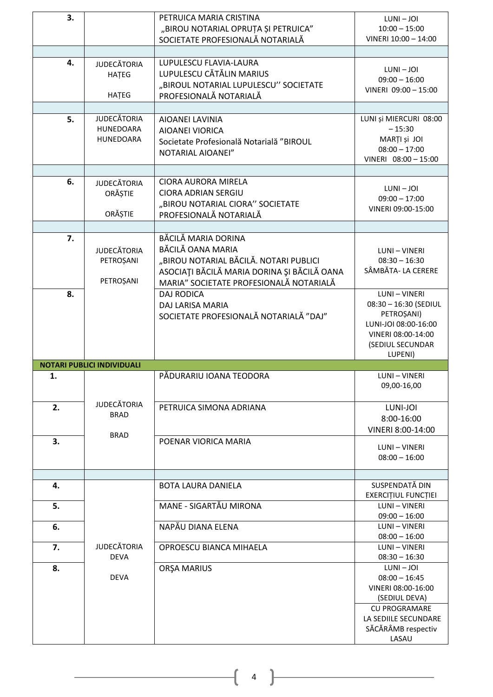| 3. |                                              | PETRUICA MARIA CRISTINA<br>"BIROU NOTARIAL OPRUȚA ȘI PETRUICA"<br>SOCIETATE PROFESIONALĂ NOTARIALĂ                                                    | $LUNI - JOI$<br>$10:00 - 15:00$<br>VINERI 10:00 - 14:00                                                                                                         |
|----|----------------------------------------------|-------------------------------------------------------------------------------------------------------------------------------------------------------|-----------------------------------------------------------------------------------------------------------------------------------------------------------------|
|    |                                              |                                                                                                                                                       |                                                                                                                                                                 |
| 4. | <b>JUDECĂTORIA</b><br>HATEG<br>HATEG         | LUPULESCU FLAVIA-LAURA<br>LUPULESCU CĂTĂLIN MARIUS<br>"BIROUL NOTARIAL LUPULESCU" SOCIETATE<br>PROFESIONALĂ NOTARIALĂ                                 | $LUNI - JOI$<br>$09:00 - 16:00$<br>VINERI 09:00 - 15:00                                                                                                         |
| 5. | <b>JUDECĂTORIA</b><br>HUNEDOARA<br>HUNEDOARA | AIOANEI LAVINIA<br>AIOANEI VIORICA<br>Societate Profesională Notarială "BIROUL<br>NOTARIAL AIOANEI"                                                   | LUNI și MIERCURI 08:00<br>$-15:30$<br>MARȚI și JOI<br>$08:00 - 17:00$<br>VINERI 08:00 - 15:00                                                                   |
| 6. | <b>JUDECĂTORIA</b><br>ORĂȘTIE<br>ORĂȘTIE     | <b>CIORA AURORA MIRELA</b><br><b>CIORA ADRIAN SERGIU</b><br>"BIROU NOTARIAL CIORA" SOCIETATE<br>PROFESIONALĂ NOTARIALĂ                                | $LUNI - JOI$<br>$09:00 - 17:00$<br>VINERI 09:00-15:00                                                                                                           |
|    |                                              | BĂCILĂ MARIA DORINA                                                                                                                                   |                                                                                                                                                                 |
| 7. | <b>JUDECĂTORIA</b><br>PETROȘANI<br>PETROȘANI | BĂCILĂ OANA MARIA<br>"BIROU NOTARIAL BĂCILĂ. NOTARI PUBLICI<br>ASOCIAȚI BĂCILĂ MARIA DORINA ȘI BĂCILĂ OANA<br>MARIA" SOCIETATE PROFESIONALĂ NOTARIALĂ | LUNI - VINERI<br>$08:30 - 16:30$<br>SÂMBĂTA- LA CERERE                                                                                                          |
| 8. |                                              | <b>DAJ RODICA</b><br>DAJ LARISA MARIA<br>SOCIETATE PROFESIONALĂ NOTARIALĂ "DAJ"                                                                       | LUNI - VINERI<br>08:30 - 16:30 (SEDIUL<br>PETROȘANI)<br>LUNI-JOI 08:00-16:00                                                                                    |
|    |                                              |                                                                                                                                                       | VINERI 08:00-14:00<br>(SEDIUL SECUNDAR<br>LUPENI)                                                                                                               |
|    | <b>NOTARI PUBLICI INDIVIDUALI</b>            |                                                                                                                                                       |                                                                                                                                                                 |
| 1. |                                              | PĂDURARIU IOANA TEODORA                                                                                                                               | LUNI - VINERI<br>09,00-16,00                                                                                                                                    |
| 2. | <b>JUDECĂTORIA</b><br><b>BRAD</b>            | PETRUICA SIMONA ADRIANA                                                                                                                               | LUNI-JOI<br>8:00-16:00                                                                                                                                          |
| 3. | <b>BRAD</b>                                  | POENAR VIORICA MARIA                                                                                                                                  | VINERI 8:00-14:00<br>LUNI - VINERI<br>$08:00 - 16:00$                                                                                                           |
|    |                                              |                                                                                                                                                       |                                                                                                                                                                 |
| 4. |                                              | <b>BOTA LAURA DANIELA</b>                                                                                                                             | SUSPENDATĂ DIN<br><b>EXERCITIUL FUNCTIEI</b>                                                                                                                    |
| 5. |                                              | MANE - SIGARTĂU MIRONA                                                                                                                                | <b>LUNI-VINERI</b>                                                                                                                                              |
| 6. |                                              | NAPĂU DIANA ELENA                                                                                                                                     | $09:00 - 16:00$<br>LUNI - VINERI                                                                                                                                |
| 7. | <b>JUDECĂTORIA</b>                           | OPROESCU BIANCA MIHAELA                                                                                                                               | $08:00 - 16:00$<br>LUNI - VINERI                                                                                                                                |
| 8. | <b>DEVA</b><br><b>DEVA</b>                   | ORŞA MARIUS                                                                                                                                           | $08:30 - 16:30$<br>$LUNI - JOI$<br>$08:00 - 16:45$<br>VINERI 08:00-16:00<br>(SEDIUL DEVA)<br><b>CU PROGRAMARE</b><br>LA SEDIILE SECUNDARE<br>SĂCĂRÂMB respectiv |

 $\begin{pmatrix} 4 & 1 \end{pmatrix}$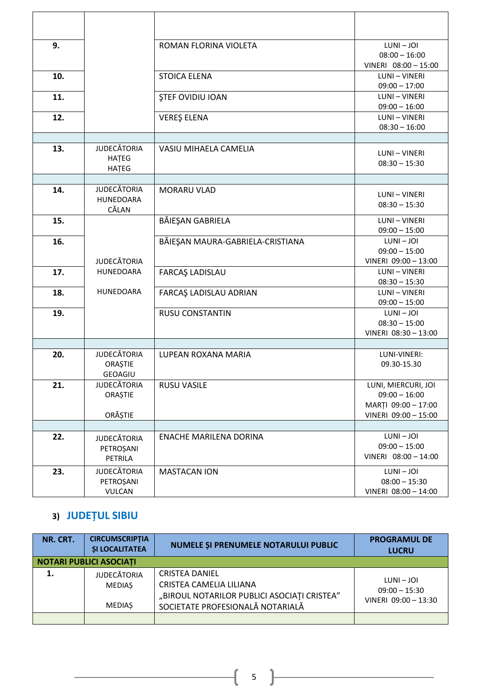| 9.  |                    | ROMAN FLORINA VIOLETA            | $LUNI - JOI$                    |
|-----|--------------------|----------------------------------|---------------------------------|
|     |                    |                                  | $08:00 - 16:00$                 |
|     |                    |                                  | VINERI 08:00 - 15:00            |
| 10. |                    | <b>STOICA ELENA</b>              | LUNI - VINERI                   |
|     |                    |                                  | $09:00 - 17:00$                 |
| 11. |                    | <b>STEF OVIDIU IOAN</b>          | LUNI - VINERI                   |
|     |                    |                                  | $09:00 - 16:00$                 |
| 12. |                    | <b>VEREŞ ELENA</b>               | LUNI - VINERI                   |
|     |                    |                                  | $08:30 - 16:00$                 |
|     |                    |                                  |                                 |
| 13. | <b>JUDECĂTORIA</b> | VASIU MIHAELA CAMELIA            | LUNI - VINERI                   |
|     | HATEG              |                                  | $08:30 - 15:30$                 |
|     | HATEG              |                                  |                                 |
|     |                    |                                  |                                 |
| 14. | <b>JUDECĂTORIA</b> | MORARU VLAD                      | LUNI - VINERI                   |
|     | <b>HUNEDOARA</b>   |                                  | $08:30 - 15:30$                 |
|     | CĂLAN              |                                  | <b>LUNI-VINERI</b>              |
| 15. |                    | BĂIEȘAN GABRIELA                 | $09:00 - 15:00$                 |
| 16. |                    | BĂIEȘAN MAURA-GABRIELA-CRISTIANA | $LUNI - JOI$                    |
|     |                    |                                  | $09:00 - 15:00$                 |
|     | <b>JUDECĂTORIA</b> |                                  | VINERI 09:00 - 13:00            |
| 17. | <b>HUNEDOARA</b>   | <b>FARCAŞ LADISLAU</b>           | LUNI - VINERI                   |
|     |                    |                                  | $08:30 - 15:30$                 |
| 18. | <b>HUNEDOARA</b>   | FARCAŞ LADISLAU ADRIAN           | <b>LUNI-VINERI</b>              |
|     |                    |                                  | $09:00 - 15:00$                 |
| 19. |                    | <b>RUSU CONSTANTIN</b>           | $LUNI - JOI$                    |
|     |                    |                                  | $08:30 - 15:00$                 |
|     |                    |                                  | VINERI 08:30 - 13:00            |
|     |                    |                                  |                                 |
| 20. | <b>JUDECĂTORIA</b> | LUPEAN ROXANA MARIA              | LUNI-VINERI:                    |
|     | ORAȘTIE            |                                  | 09.30-15.30                     |
|     | <b>GEOAGIU</b>     |                                  |                                 |
| 21. | <b>JUDECĂTORIA</b> | <b>RUSU VASILE</b>               | LUNI, MIERCURI, JOI             |
|     | ORAȘTIE            |                                  | $09:00 - 16:00$                 |
|     |                    |                                  | MARȚI 09:00 - 17:00             |
|     | <b>ORĂȘTIE</b>     |                                  | VINERI 09:00 - 15:00            |
|     |                    |                                  |                                 |
| 22. | <b>JUDECĂTORIA</b> | ENACHE MARILENA DORINA           | $LUNI - JOI$<br>$09:00 - 15:00$ |
|     | PETROȘANI          |                                  |                                 |
|     | PETRILA            |                                  | VINERI 08:00 - 14:00            |
| 23. | <b>JUDECĂTORIA</b> | <b>MASTACAN ION</b>              | $LUNI - JOI$                    |
|     | PETROȘANI          |                                  | $08:00 - 15:30$                 |
|     | <b>VULCAN</b>      |                                  | VINERI 08:00 - 14:00            |

## **3) JUDEȚUL SIBIU**

| NR. CRT. | <b>CIRCUMSCRIPTIA</b><br><b>SI LOCALITATEA</b>       | <b>NUMELE SI PRENUMELE NOTARULUI PUBLIC</b>                                                                                         | <b>PROGRAMUL DE</b><br><b>LUCRU</b>                   |
|----------|------------------------------------------------------|-------------------------------------------------------------------------------------------------------------------------------------|-------------------------------------------------------|
|          | <b>NOTARI PUBLICI ASOCIATI</b>                       |                                                                                                                                     |                                                       |
|          | <b>JUDECĂTORIA</b><br><b>MEDIAS</b><br><b>MEDIAS</b> | <b>CRISTEA DANIEL</b><br>CRISTEA CAMELIA LILIANA<br>"BIROUL NOTARILOR PUBLICI ASOCIAȚI CRISTEA"<br>SOCIETATE PROFESIONALĂ NOTARIALĂ | LUNI – JOI<br>$09:00 - 15:30$<br>VINERI 09:00 - 13:30 |
|          |                                                      |                                                                                                                                     |                                                       |

 $\{$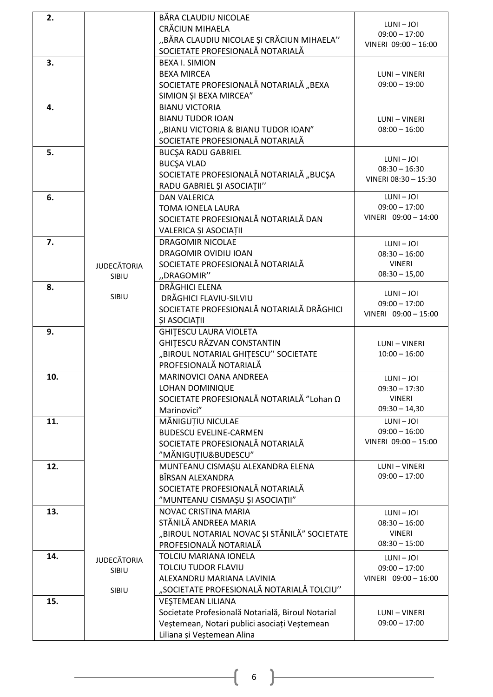| 2.  |                    | BĂRA CLAUDIU NICOLAE<br>CRĂCIUN MIHAELA<br>"BĂRA CLAUDIU NICOLAE ȘI CRĂCIUN MIHAELA" | $LUNI - JOI$<br>$09:00 - 17:00$         |
|-----|--------------------|--------------------------------------------------------------------------------------|-----------------------------------------|
|     |                    | SOCIETATE PROFESIONALĂ NOTARIALĂ                                                     | VINERI 09:00 - 16:00                    |
| 3.  |                    | <b>BEXA I. SIMION</b>                                                                |                                         |
|     |                    | <b>BEXA MIRCEA</b>                                                                   | LUNI - VINERI                           |
|     |                    | SOCIETATE PROFESIONALĂ NOTARIALĂ "BEXA                                               | $09:00 - 19:00$                         |
| 4.  |                    | SIMION ȘI BEXA MIRCEA"<br><b>BIANU VICTORIA</b>                                      |                                         |
|     |                    | <b>BIANU TUDOR IOAN</b>                                                              | LUNI - VINERI                           |
|     |                    | "BIANU VICTORIA & BIANU TUDOR IOAN"                                                  | $08:00 - 16:00$                         |
|     |                    | SOCIETATE PROFESIONALĂ NOTARIALĂ                                                     |                                         |
| 5.  |                    | <b>BUCSA RADU GABRIEL</b>                                                            |                                         |
|     |                    | <b>BUCŞA VLAD</b>                                                                    | $LUNI - JOI$                            |
|     |                    | SOCIETATE PROFESIONALĂ NOTARIALĂ "BUCȘA                                              | $08:30 - 16:30$<br>VINERI 08:30 - 15:30 |
|     |                    | RADU GABRIEL ȘI ASOCIAȚII"                                                           |                                         |
| 6.  |                    | <b>DAN VALERICA</b>                                                                  | $LUNI - JOI$                            |
|     |                    | <b>TOMA IONELA LAURA</b>                                                             | $09:00 - 17:00$                         |
|     |                    | SOCIETATE PROFESIONALĂ NOTARIALĂ DAN                                                 | VINERI 09:00 - 14:00                    |
|     |                    | VALERICA ȘI ASOCIAȚII                                                                |                                         |
| 7.  |                    | <b>DRAGOMIR NICOLAE</b>                                                              | $LUNI - JOI$                            |
|     |                    | DRAGOMIR OVIDIU IOAN                                                                 | $08:30 - 16:00$                         |
|     | <b>JUDECĂTORIA</b> | SOCIETATE PROFESIONALĂ NOTARIALĂ<br>"DRAGOMIR"                                       | <b>VINERI</b><br>$08:30 - 15,00$        |
| 8.  | SIBIU              | DRĂGHICI ELENA                                                                       |                                         |
|     | SIBIU              | DRĂGHICI FLAVIU-SILVIU                                                               | $LUNI - JOI$                            |
|     |                    | SOCIETATE PROFESIONALĂ NOTARIALĂ DRĂGHICI                                            | $09:00 - 17:00$                         |
|     |                    | ȘI ASOCIAȚII                                                                         | VINERI 09:00 - 15:00                    |
| 9.  |                    | <b>GHITESCU LAURA VIOLETA</b>                                                        |                                         |
|     |                    | GHITESCU RĂZVAN CONSTANTIN                                                           | LUNI - VINERI                           |
|     |                    | "BIROUL NOTARIAL GHITESCU" SOCIETATE                                                 | $10:00 - 16:00$                         |
|     |                    | PROFESIONALĂ NOTARIALĂ                                                               |                                         |
| 10. |                    | <b>MARINOVICI OANA ANDREEA</b>                                                       | $LUNI - JOI$                            |
|     |                    | LOHAN DOMINIQUE                                                                      | $09:30 - 17:30$                         |
|     |                    | SOCIETATE PROFESIONALĂ NOTARIALĂ "Lohan Ω                                            | <b>VINERI</b><br>$09:30 - 14,30$        |
|     |                    | Marinovici"                                                                          | $LUNI - JOI$                            |
| 11. |                    | MĂNIGUȚIU NICULAE<br><b>BUDESCU EVELINE-CARMEN</b>                                   | $09:00 - 16:00$                         |
|     |                    | SOCIETATE PROFESIONALĂ NOTARIALĂ                                                     | VINERI 09:00 - 15:00                    |
|     |                    | "MĂNIGUȚIU&BUDESCU"                                                                  |                                         |
| 12. |                    | MUNTEANU CISMAȘU ALEXANDRA ELENA                                                     | <b>LUNI-VINERI</b>                      |
|     |                    | BÎRSAN ALEXANDRA                                                                     | $09:00 - 17:00$                         |
|     |                    | SOCIETATE PROFESIONALĂ NOTARIALĂ                                                     |                                         |
|     |                    | "MUNTEANU CISMAȘU ȘI ASOCIAȚII"                                                      |                                         |
| 13. |                    | NOVAC CRISTINA MARIA                                                                 | $LUNI - JOI$                            |
|     |                    | STĂNILĂ ANDREEA MARIA                                                                | $08:30 - 16:00$                         |
|     |                    | "BIROUL NOTARIAL NOVAC ȘI STĂNILĂ" SOCIETATE<br>PROFESIONALĂ NOTARIALĂ               | <b>VINERI</b><br>$08:30 - 15:00$        |
|     |                    | TOLCIU MARIANA IONELA                                                                |                                         |
| 14. | <b>JUDECĂTORIA</b> | TOLCIU TUDOR FLAVIU                                                                  | LUNI - JOI                              |
|     | SIBIU              | ALEXANDRU MARIANA LAVINIA                                                            | $09:00 - 17:00$<br>VINERI 09:00 - 16:00 |
|     | SIBIU              | "SOCIETATE PROFESIONALĂ NOTARIALĂ TOLCIU"                                            |                                         |
| 15. |                    | <b>VEŞTEMEAN LILIANA</b>                                                             |                                         |
|     |                    | Societate Profesională Notarială, Biroul Notarial                                    | LUNI - VINERI                           |
|     |                    | Veștemean, Notari publici asociați Veștemean                                         | $09:00 - 17:00$                         |
|     |                    | Liliana și Veștemean Alina                                                           |                                         |

 $\begin{array}{|c|c|c|c|c|}\hline \hspace{1.5cm}&6&\end{array}$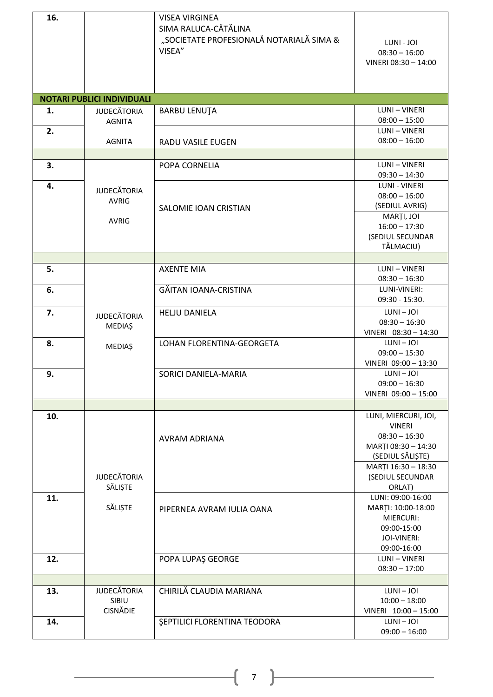| 16. |                                                    | <b>VISEA VIRGINEA</b><br>SIMA RALUCA-CĂTĂLINA<br>"SOCIETATE PROFESIONALĂ NOTARIALĂ SIMA &<br>VISEA" | LUNI - JOI<br>$08:30 - 16:00$                                                                     |
|-----|----------------------------------------------------|-----------------------------------------------------------------------------------------------------|---------------------------------------------------------------------------------------------------|
|     |                                                    |                                                                                                     | VINERI 08:30 - 14:00                                                                              |
|     | <b>NOTARI PUBLICI INDIVIDUALI</b>                  |                                                                                                     |                                                                                                   |
| 1.  | <b>JUDECĂTORIA</b><br><b>AGNITA</b>                | <b>BARBU LENUTA</b>                                                                                 | LUNI - VINERI<br>$08:00 - 15:00$                                                                  |
| 2.  | <b>AGNITA</b>                                      | RADU VASILE EUGEN                                                                                   | LUNI - VINERI<br>$08:00 - 16:00$                                                                  |
|     |                                                    |                                                                                                     |                                                                                                   |
| 3.  |                                                    | POPA CORNELIA                                                                                       | LUNI - VINERI<br>$09:30 - 14:30$                                                                  |
| 4.  | <b>JUDECĂTORIA</b><br><b>AVRIG</b><br><b>AVRIG</b> | SALOMIE IOAN CRISTIAN                                                                               | <b>LUNI - VINERI</b><br>$08:00 - 16:00$<br>(SEDIUL AVRIG)<br>MARȚI, JOI<br>$16:00 - 17:30$        |
|     |                                                    |                                                                                                     | (SEDIUL SECUNDAR<br>TĂLMACIU)                                                                     |
|     |                                                    |                                                                                                     |                                                                                                   |
| 5.  |                                                    | <b>AXENTE MIA</b>                                                                                   | LUNI - VINERI<br>$08:30 - 16:30$                                                                  |
| 6.  |                                                    | GĂITAN IOANA-CRISTINA                                                                               | LUNI-VINERI:<br>$09:30 - 15:30.$                                                                  |
| 7.  | <b>JUDECĂTORIA</b><br><b>MEDIAŞ</b>                | <b>HELJU DANIELA</b>                                                                                | $LUNI - JOI$<br>$08:30 - 16:30$<br>VINERI 08:30 - 14:30                                           |
| 8.  | <b>MEDIAŞ</b>                                      | LOHAN FLORENTINA-GEORGETA                                                                           | $LUNI - JOI$<br>$09:00 - 15:30$<br>VINERI 09:00 - 13:30                                           |
| 9.  |                                                    | SORICI DANIELA-MARIA                                                                                | $LUNI - JOI$<br>$09:00 - 16:30$<br>VINERI 09:00 - 15:00                                           |
|     |                                                    |                                                                                                     |                                                                                                   |
| 10. |                                                    |                                                                                                     | LUNI, MIERCURI, JOI,                                                                              |
|     |                                                    | AVRAM ADRIANA                                                                                       | <b>VINERI</b><br>$08:30 - 16:30$<br>MARȚI 08:30 - 14:30<br>(SEDIUL SĂLIȘTE)                       |
|     | <b>JUDECĂTORIA</b><br>SĂLIȘTE                      |                                                                                                     | MARȚI 16:30 - 18:30<br>(SEDIUL SECUNDAR<br>ORLAT)                                                 |
| 11. | SĂLIȘTE                                            | PIPERNEA AVRAM IULIA OANA                                                                           | LUNI: 09:00-16:00<br>MARȚI: 10:00-18:00<br>MIERCURI:<br>09:00-15:00<br>JOI-VINERI:<br>09:00-16:00 |
| 12. |                                                    | POPA LUPAŞ GEORGE                                                                                   | LUNI - VINERI<br>$08:30 - 17:00$                                                                  |
|     |                                                    |                                                                                                     |                                                                                                   |
| 13. | <b>JUDECĂTORIA</b><br>SIBIU<br><b>CISNĂDIE</b>     | <b>CHIRILĂ CLAUDIA MARIANA</b>                                                                      | $LUNI - JOI$<br>$10:00 - 18:00$<br>VINERI 10:00 - 15:00                                           |
| 14. |                                                    | SEPTILICI FLORENTINA TEODORA                                                                        | $LUNI - JOI$<br>$09:00 - 16:00$                                                                   |

 $\begin{pmatrix} 7 \end{pmatrix}$